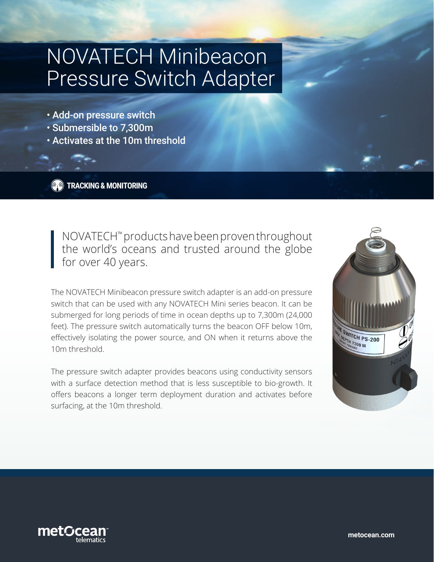# NOVATECH Minibeacon Pressure Switch Adapter

- Add-on pressure switch
- Submersible to 7,300m
- Activates at the 10m threshold

**TRACKING & MONITORING**

NOVATECH™ products have been proven throughout the world's oceans and trusted around the globe for over 40 years.

The NOVATECH Minibeacon pressure switch adapter is an add-on pressure switch that can be used with any NOVATECH Mini series beacon. It can be submerged for long periods of time in ocean depths up to 7,300m (24,000 feet). The pressure switch automatically turns the beacon OFF below 10m, effectively isolating the power source, and ON when it returns above the 10m threshold.

The pressure switch adapter provides beacons using conductivity sensors with a surface detection method that is less susceptible to bio-growth. It offers beacons a longer term deployment duration and activates before surfacing, at the 10m threshold.